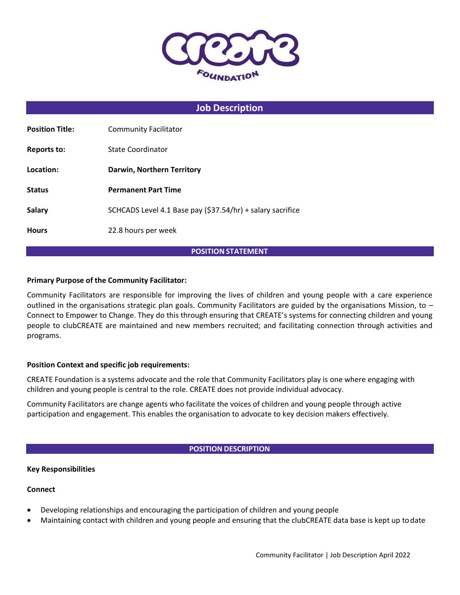

# **Job Description**

| <b>Position Title:</b><br><b>Community Facilitator</b>                      |  |
|-----------------------------------------------------------------------------|--|
| State Coordinator<br>Reports to:                                            |  |
| Location:<br>Darwin, Northern Territory                                     |  |
| <b>Status</b><br><b>Permanent Part Time</b>                                 |  |
| SCHCADS Level 4.1 Base pay (\$37.54/hr) + salary sacrifice<br><b>Salary</b> |  |
| 22.8 hours per week<br><b>Hours</b>                                         |  |

### **POSITION STATEMENT**

### **Primary Purpose of the Community Facilitator:**

Community Facilitators are responsible for improving the lives of children and young people with a care experience outlined in the organisations strategic plan goals. Community Facilitators are guided by the organisations Mission, to – Connect to Empower to Change. They do this through ensuring that CREATE's systems for connecting children and young people to clubCREATE are maintained and new members recruited; and facilitating connection through activities and programs.

### **Position Context and specific job requirements:**

CREATE Foundation is a systems advocate and the role that Community Facilitators play is one where engaging with children and young people is central to the role. CREATE does not provide individual advocacy.

Community Facilitators are change agents who facilitate the voices of children and young people through active participation and engagement. This enables the organisation to advocate to key decision makers effectively.

### **POSITION DESCRIPTION**

### **Key Responsibilities**

### **Connect**

- Developing relationships and encouraging the participation of children and young people
- Maintaining contact with children and young people and ensuring that the clubCREATE data base is kept up todate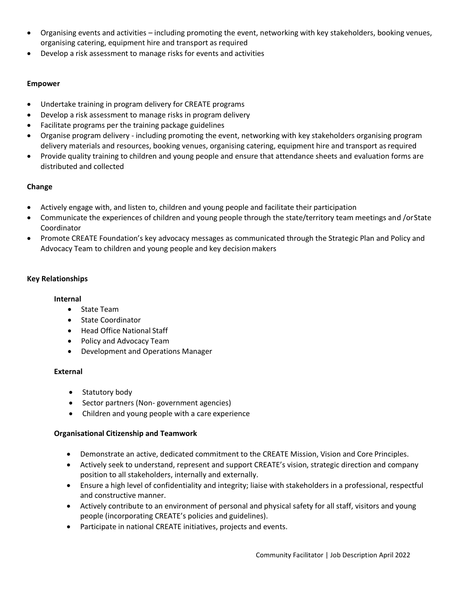- Organising events and activities including promoting the event, networking with key stakeholders, booking venues, organising catering, equipment hire and transport as required
- Develop a risk assessment to manage risks for events and activities

## **Empower**

- Undertake training in program delivery for CREATE programs
- Develop a risk assessment to manage risks in program delivery
- Facilitate programs per the training package guidelines
- Organise program delivery including promoting the event, networking with key stakeholders organising program delivery materials and resources, booking venues, organising catering, equipment hire and transport as required
- Provide quality training to children and young people and ensure that attendance sheets and evaluation forms are distributed and collected

# **Change**

- Actively engage with, and listen to, children and young people and facilitate their participation
- Communicate the experiences of children and young people through the state/territory team meetings and /orState Coordinator
- Promote CREATE Foundation's key advocacy messages as communicated through the Strategic Plan and Policy and Advocacy Team to children and young people and key decision makers

# **Key Relationships**

## **Internal**

- State Team
- State Coordinator
- Head Office National Staff
- Policy and Advocacy Team
- Development and Operations Manager

## **External**

- Statutory body
- Sector partners (Non-government agencies)
- Children and young people with a care experience

## **Organisational Citizenship and Teamwork**

- Demonstrate an active, dedicated commitment to the CREATE Mission, Vision and Core Principles.
- Actively seek to understand, represent and support CREATE's vision, strategic direction and company position to all stakeholders, internally and externally.
- Ensure a high level of confidentiality and integrity; liaise with stakeholders in a professional, respectful and constructive manner.
- Actively contribute to an environment of personal and physical safety for all staff, visitors and young people (incorporating CREATE's policies and guidelines).
- Participate in national CREATE initiatives, projects and events.